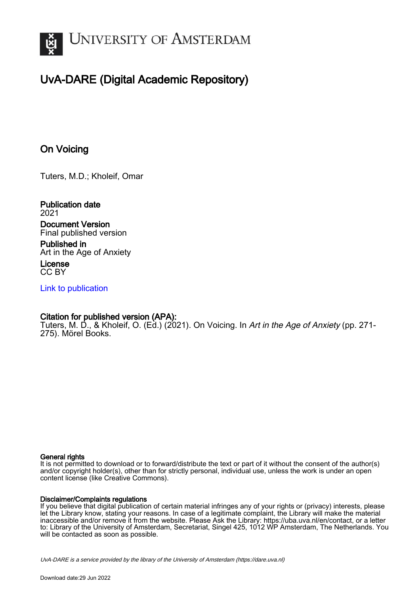

# UvA-DARE (Digital Academic Repository)

# On Voicing

Tuters, M.D.; Kholeif, Omar

Publication date 2021 Document Version Final published version

Published in Art in the Age of Anxiety

License CC BY

[Link to publication](https://dare.uva.nl/personal/pure/en/publications/on-voicing(f8f04f2b-9329-411f-a24b-008a06af0841).html)

### Citation for published version (APA):

Tuters, M. D., & Kholeif, O. (Ed.) (2021). On Voicing. In Art in the Age of Anxiety (pp. 271-275). Mörel Books.

#### General rights

It is not permitted to download or to forward/distribute the text or part of it without the consent of the author(s) and/or copyright holder(s), other than for strictly personal, individual use, unless the work is under an open content license (like Creative Commons).

#### Disclaimer/Complaints regulations

If you believe that digital publication of certain material infringes any of your rights or (privacy) interests, please let the Library know, stating your reasons. In case of a legitimate complaint, the Library will make the material inaccessible and/or remove it from the website. Please Ask the Library: https://uba.uva.nl/en/contact, or a letter to: Library of the University of Amsterdam, Secretariat, Singel 425, 1012 WP Amsterdam, The Netherlands. You will be contacted as soon as possible.

UvA-DARE is a service provided by the library of the University of Amsterdam (http*s*://dare.uva.nl)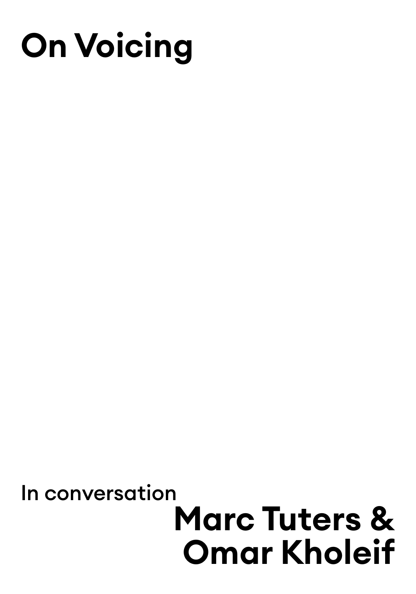# **On Voicing**

# **Marc Tuters & Omar Kholeif**  In conversation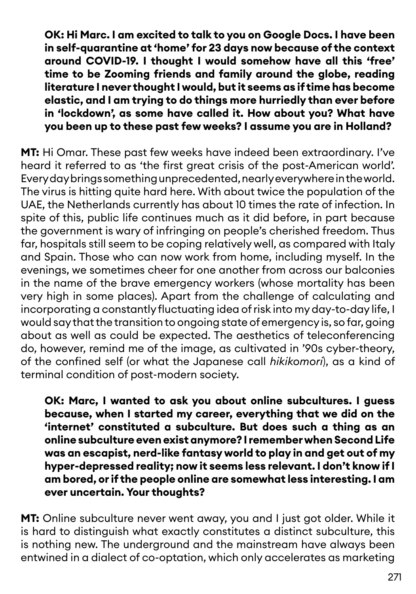**OK: Hi Marc. I am excited to talk to you on Google Docs. I have been in self-quarantine at 'home' for 23 days now because of the context around COVID-19. I thought I would somehow have all this 'free' time to be Zooming friends and family around the globe, reading literature I never thought I would, but it seems as if time has become elastic, and I am trying to do things more hurriedly than ever before in 'lockdown', as some have called it. How about you? What have you been up to these past few weeks? I assume you are in Holland?**

**MT:** Hi Omar. These past few weeks have indeed been extraordinary. I've heard it referred to as 'the first great crisis of the post-American world'. Every day brings something unprecedented, nearly everywhere in the world. The virus is hitting quite hard here. With about twice the population of the UAE, the Netherlands currently has about 10 times the rate of infection. In spite of this, public life continues much as it did before, in part because the government is wary of infringing on people's cherished freedom. Thus far, hospitals still seem to be coping relatively well, as compared with Italy and Spain. Those who can now work from home, including myself. In the evenings, we sometimes cheer for one another from across our balconies in the name of the brave emergency workers (whose mortality has been very high in some places). Apart from the challenge of calculating and incorporating a constantly fluctuating idea of risk into my day-to-day life, I would say that the transition to ongoing state of emergency is, so far, going about as well as could be expected. The aesthetics of teleconferencing do, however, remind me of the image, as cultivated in '90s cyber-theory, of the confined self (or what the Japanese call *hikikomori*), as a kind of terminal condition of post-modern society.

**OK: Marc, I wanted to ask you about online subcultures. I guess because, when I started my career, everything that we did on the 'internet' constituted a subculture. But does such a thing as an online subculture even exist anymore? I remember when Second Life was an escapist, nerd-like fantasy world to play in and get out of my hyper-depressed reality; now it seems less relevant. I don't know if I am bored, or if the people online are somewhat less interesting. I am ever uncertain. Your thoughts?**

**MT:** Online subculture never went away, you and I just got older. While it is hard to distinguish what exactly constitutes a distinct subculture, this is nothing new. The underground and the mainstream have always been entwined in a dialect of co-optation, which only accelerates as marketing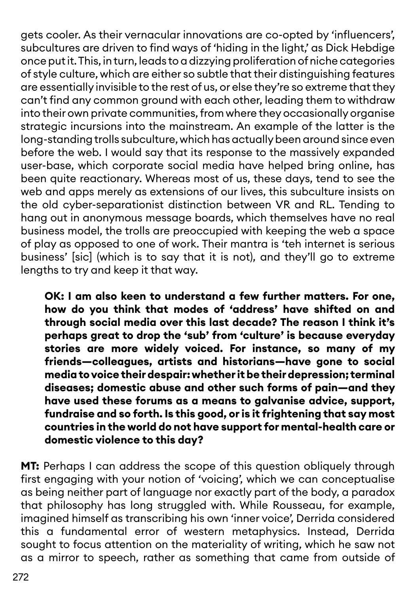gets cooler. As their vernacular innovations are co-opted by 'influencers', subcultures are driven to find ways of 'hiding in the light,' as Dick Hebdige once put it. This, in turn, leads to a dizzying proliferation of niche categories of style culture, which are either so subtle that their distinguishing features are essentially invisible to the rest of us, or else they're so extreme that they can't find any common ground with each other, leading them to withdraw into their own private communities, from where they occasionally organise strategic incursions into the mainstream. An example of the latter is the long-standing trolls subculture, which has actually been around since even before the web. I would say that its response to the massively expanded user-base, which corporate social media have helped bring online, has been quite reactionary. Whereas most of us, these days, tend to see the web and apps merely as extensions of our lives, this subculture insists on the old cyber-separationist distinction between VR and RL. Tending to hang out in anonymous message boards, which themselves have no real business model, the trolls are preoccupied with keeping the web a space of play as opposed to one of work. Their mantra is 'teh internet is serious business' [sic] (which is to say that it is not), and they'll go to extreme lengths to try and keep it that way.

**OK: I am also keen to understand a few further matters. For one, how do you think that modes of 'address' have shifted on and through social media over this last decade? The reason I think it's perhaps great to drop the 'sub' from 'culture' is because everyday stories are more widely voiced. For instance, so many of my friends—colleagues, artists and historians—have gone to social media to voice their despair: whether it be their depression; terminal diseases; domestic abuse and other such forms of pain—and they have used these forums as a means to galvanise advice, support, fundraise and so forth. Is this good, or is it frightening that say most countries in the world do not have support for mental-health care or domestic violence to this day?**

**MT:** Perhaps I can address the scope of this question obliquely through first engaging with your notion of 'voicing', which we can conceptualise as being neither part of language nor exactly part of the body, a paradox that philosophy has long struggled with. While Rousseau, for example, imagined himself as transcribing his own 'inner voice', Derrida considered this a fundamental error of western metaphysics. Instead, Derrida sought to focus attention on the materiality of writing, which he saw not as a mirror to speech, rather as something that came from outside of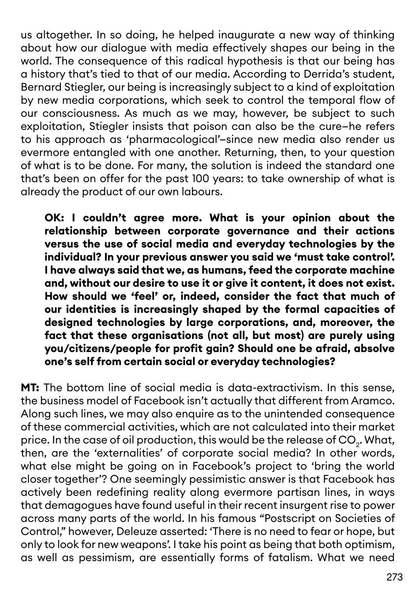us altogether. In so doing, he helped inaugurate a new way of thinking about how our dialogue with media effectively shapes our being in the world. The consequence of this radical hypothesis is that our being has a history that's tied to that of our media. According to Derrida's student, Bernard Stiegler, our being is increasingly subject to a kind of exploitation by new media corporations, which seek to control the temporal flow of our consciousness. As much as we may, however, be subject to such exploitation, Stiegler insists that poison can also be the cure—he refers to his approach as 'pharmacological'—since new media also render us evermore entangled with one another. Returning, then, to your question of what is to be done. For many, the solution is indeed the standard one that's been on offer for the past 100 years: to take ownership of what is already the product of our own labours.

**OK: I couldn't agree more. What is your opinion about the relationship between corporate governance and their actions versus the use of social media and everyday technologies by the individual? In your previous answer you said we 'must take control'. I have always said that we, as humans, feed the corporate machine and, without our desire to use it or give it content, it does not exist. How should we 'feel' or, indeed, consider the fact that much of our identities is increasingly shaped by the formal capacities of designed technologies by large corporations, and, moreover, the fact that these organisations (not all, but most) are purely using you/citizens/people for profit gain? Should one be afraid, absolve one's self from certain social or everyday technologies?** 

**MT:** The bottom line of social media is data-extractivism. In this sense, the business model of Facebook isn't actually that different from Aramco. Along such lines, we may also enquire as to the unintended consequence of these commercial activities, which are not calculated into their market price. In the case of oil production, this would be the release of CO<sub>2</sub>. What, then, are the 'externalities' of corporate social media? In other words, what else might be going on in Facebook's project to 'bring the world closer together'? One seemingly pessimistic answer is that Facebook has actively been redefining reality along evermore partisan lines, in ways that demagogues have found useful in their recent insurgent rise to power across many parts of the world. In his famous "Postscript on Societies of Control," however, Deleuze asserted: 'There is no need to fear or hope, but only to look for new weapons'. I take his point as being that both optimism, as well as pessimism, are essentially forms of fatalism. What we need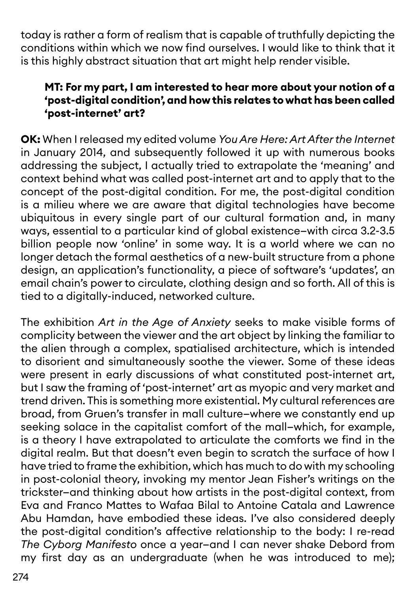today is rather a form of realism that is capable of truthfully depicting the conditions within which we now find ourselves. I would like to think that it is this highly abstract situation that art might help render visible.

## **MT: For my part, I am interested to hear more about your notion of a 'post-digital condition', and how this relates to what has been called 'post-internet' art?**

**OK:** When I released my edited volume *You Are Here: Art After the Internet* in January 2014, and subsequently followed it up with numerous books addressing the subject, I actually tried to extrapolate the 'meaning' and context behind what was called post-internet art and to apply that to the concept of the post-digital condition. For me, the post-digital condition is a milieu where we are aware that digital technologies have become ubiquitous in every single part of our cultural formation and, in many ways, essential to a particular kind of global existence—with circa 3.2-3.5 billion people now 'online' in some way. It is a world where we can no longer detach the formal aesthetics of a new-built structure from a phone design, an application's functionality, a piece of software's 'updates', an email chain's power to circulate, clothing design and so forth. All of this is tied to a digitally-induced, networked culture.

The exhibition *Art in the Age of Anxiety* seeks to make visible forms of complicity between the viewer and the art object by linking the familiar to the alien through a complex, spatialised architecture, which is intended to disorient and simultaneously soothe the viewer. Some of these ideas were present in early discussions of what constituted post-internet art, but I saw the framing of 'post-internet' art as myopic and very market and trend driven. This is something more existential. My cultural references are broad, from Gruen's transfer in mall culture—where we constantly end up seeking solace in the capitalist comfort of the mall—which, for example, is a theory I have extrapolated to articulate the comforts we find in the digital realm. But that doesn't even begin to scratch the surface of how I have tried to frame the exhibition, which has much to do with my schooling in post-colonial theory, invoking my mentor Jean Fisher's writings on the trickster—and thinking about how artists in the post-digital context, from Eva and Franco Mattes to Wafaa Bilal to Antoine Catala and Lawrence Abu Hamdan, have embodied these ideas. I've also considered deeply the post-digital condition's affective relationship to the body: I re-read *The Cyborg Manifesto* once a year—and I can never shake Debord from my first day as an undergraduate (when he was introduced to me);